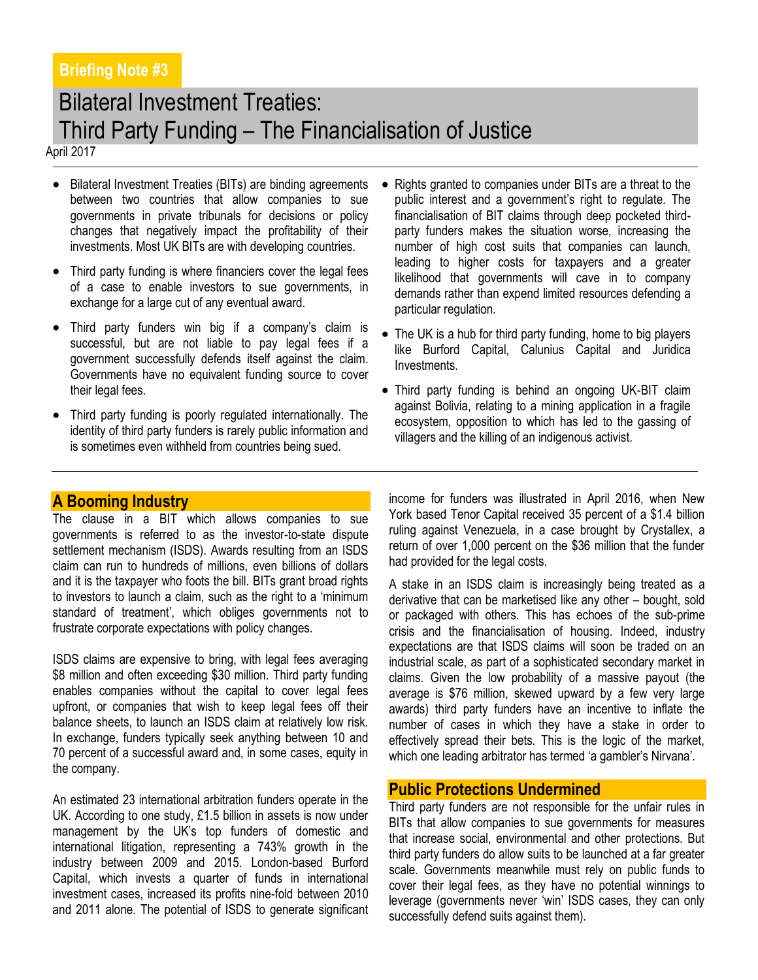# Bilateral Investment Treaties: Third Party Funding – The Financialisation of Justice

April 2017

- Bilateral Investment Treaties (BITs) are binding agreements between two countries that allow companies to sue governments in private tribunals for decisions or policy changes that negatively impact the profitability of their investments. Most UK BITs are with developing countries.
- Third party funding is where financiers cover the legal fees of a case to enable investors to sue governments, in exchange for a large cut of any eventual award.
- Third party funders win big if a company's claim is successful, but are not liable to pay legal fees if a government successfully defends itself against the claim. Governments have no equivalent funding source to cover their legal fees.
- Third party funding is poorly regulated internationally. The identity of third party funders is rarely public information and is sometimes even withheld from countries being sued.
- Rights granted to companies under BITs are a threat to the public interest and a government's right to regulate. The financialisation of BIT claims through deep pocketed thirdparty funders makes the situation worse, increasing the number of high cost suits that companies can launch, leading to higher costs for taxpayers and a greater likelihood that governments will cave in to company demands rather than expend limited resources defending a particular regulation.
- The UK is a hub for third party funding, home to big players like Burford Capital, Calunius Capital and Juridica Investments.
- Third party funding is behind an ongoing UK-BIT claim against Bolivia, relating to a mining application in a fragile ecosystem, opposition to which has led to the gassing of villagers and the killing of an indigenous activist.

### **A Booming Industry**

The clause in a BIT which allows companies to sue governments is referred to as the investor-to-state dispute settlement mechanism (ISDS). Awards resulting from an ISDS claim can run to hundreds of millions, even billions of dollars and it is the taxpayer who foots the bill. BITs grant broad rights to investors to launch a claim, such as the right to a 'minimum standard of treatment', which obliges governments not to frustrate corporate expectations with policy changes.

ISDS claims are expensive to bring, with legal fees averaging \$8 million and often exceeding \$30 million. Third party funding enables companies without the capital to cover legal fees upfront, or companies that wish to keep legal fees off their balance sheets, to launch an ISDS claim at relatively low risk. In exchange, funders typically seek anything between 10 and 70 percent of a successful award and, in some cases, equity in the company.

An estimated 23 international arbitration funders operate in the UK. According to one study, £1.5 billion in assets is now under management by the UK's top funders of domestic and international litigation, representing a 743% growth in the industry between 2009 and 2015. London-based Burford Capital, which invests a quarter of funds in international investment cases, increased its profits nine-fold between 2010 and 2011 alone. The potential of ISDS to generate significant income for funders was illustrated in April 2016, when New York based Tenor Capital received 35 percent of a \$1.4 billion ruling against Venezuela, in a case brought by Crystallex, a return of over 1,000 percent on the \$36 million that the funder had provided for the legal costs.

A stake in an ISDS claim is increasingly being treated as a derivative that can be marketised like any other – bought, sold or packaged with others. This has echoes of the sub-prime crisis and the financialisation of housing. Indeed, industry expectations are that ISDS claims will soon be traded on an industrial scale, as part of a sophisticated secondary market in claims. Given the low probability of a massive payout (the average is \$76 million, skewed upward by a few very large awards) third party funders have an incentive to inflate the number of cases in which they have a stake in order to effectively spread their bets. This is the logic of the market, which one leading arbitrator has termed 'a gambler's Nirvana'.

### **Public Protections Undermined**

Third party funders are not responsible for the unfair rules in BITs that allow companies to sue governments for measures that increase social, environmental and other protections. But third party funders do allow suits to be launched at a far greater scale. Governments meanwhile must rely on public funds to cover their legal fees, as they have no potential winnings to leverage (governments never 'win' ISDS cases, they can only successfully defend suits against them).